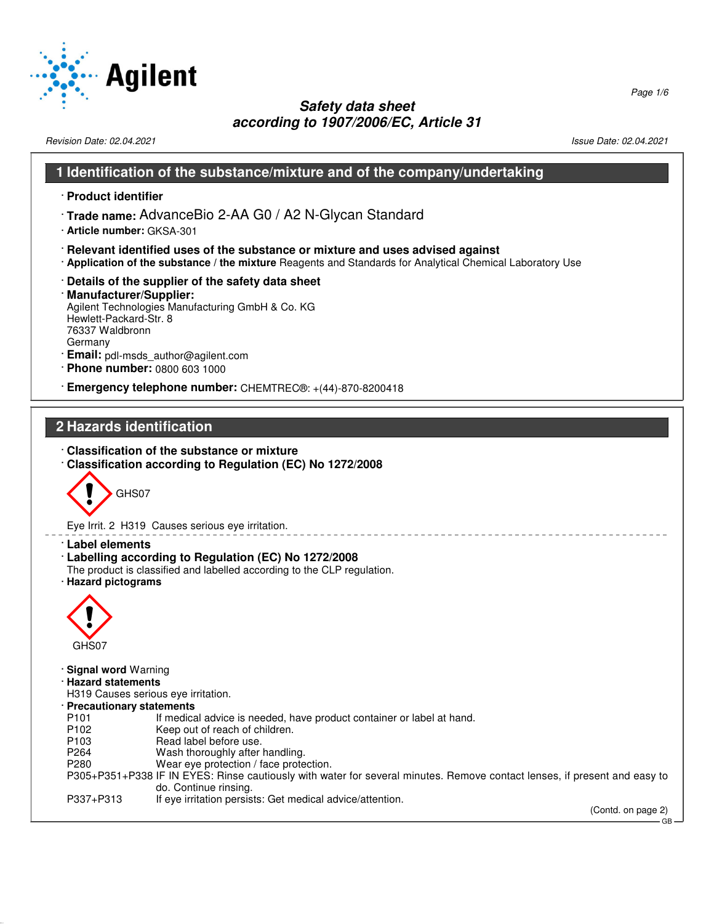

Revision Date: 02.04.2021 2021 2021 2022 20:04.2021 20:04.2021 20:04.2021 20:04.2021 20:04.2021 20:04.2021 20:04

#### **1 Identification of the substance/mixture and of the company/undertaking**

- · **Product identifier**
- · **Trade name:** AdvanceBio 2-AA G0 / A2 N-Glycan Standard
- · **Article number:** GKSA-301
- · **Relevant identified uses of the substance or mixture and uses advised against**
- · **Application of the substance / the mixture** Reagents and Standards for Analytical Chemical Laboratory Use
- · **Details of the supplier of the safety data sheet**
- · **Manufacturer/Supplier:** Agilent Technologies Manufacturing GmbH & Co. KG Hewlett-Packard-Str. 8 76337 Waldbronn Germany
- · **Email:** pdl-msds\_author@agilent.com
- · **Phone number:** 0800 603 1000
- · **Emergency telephone number:** CHEMTREC®: +(44)-870-8200418

## **2 Hazards identification**

- · **Classification of the substance or mixture**
- · **Classification according to Regulation (EC) No 1272/2008**



Eye Irrit. 2 H319 Causes serious eye irritation.

- · **Label elements**
- · **Labelling according to Regulation (EC) No 1272/2008**
- The product is classified and labelled according to the CLP regulation.
- · **Hazard pictograms**



52.0.1.1

· **Signal word** Warning

· **Hazard statements**

- H319 Causes serious eye irritation.
- · **Precautionary statements**
- P101 If medical advice is needed, have product container or label at hand.<br>P102 Keep out of reach of children.
- Keep out of reach of children.
- P103 Read label before use.<br>P264 Wash thoroughly after
- P264 Wash thoroughly after handling.<br>P280 Wear eve protection / face prote
- Wear eye protection / face protection.
- P305+P351+P338 IF IN EYES: Rinse cautiously with water for several minutes. Remove contact lenses, if present and easy to do. Continue rinsing.

<u>\_\_\_\_\_\_\_\_\_\_\_\_\_</u>

P337+P313 If eye irritation persists: Get medical advice/attention.

(Contd. on page 2)

GB

Page 1/6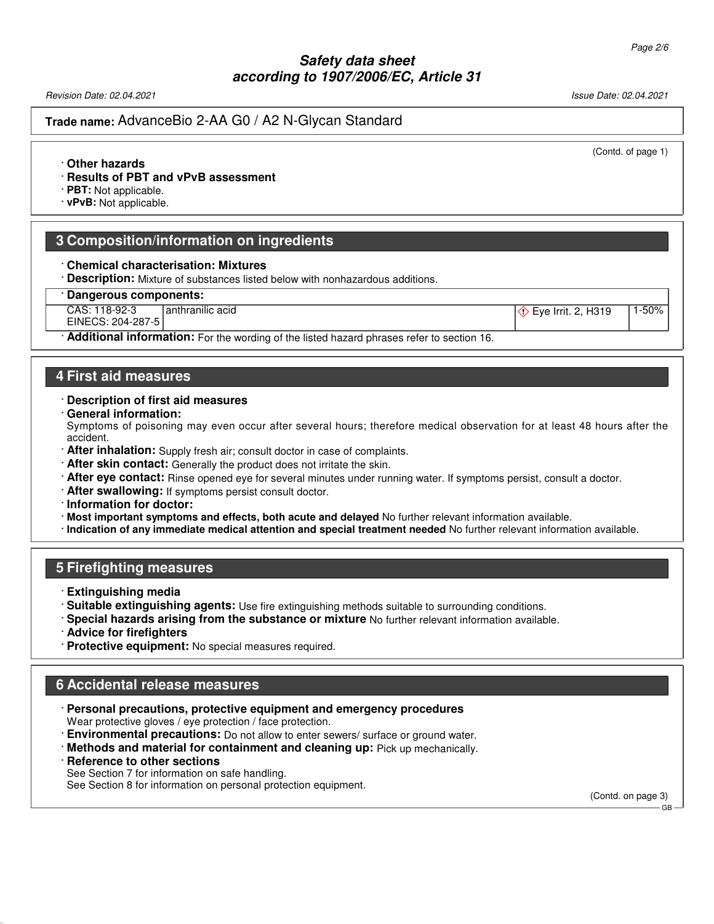Revision Date: 02.04.2021 Issue Date: 02.04.2021

#### **Trade name:** AdvanceBio 2-AA G0 / A2 N-Glycan Standard

(Contd. of page 1)

#### · **Other hazards**

- · **Results of PBT and vPvB assessment**
- · **PBT:** Not applicable.
- · **vPvB:** Not applicable.

#### **3 Composition/information on ingredients**

#### · **Chemical characterisation: Mixtures**

· **Description:** Mixture of substances listed below with nonhazardous additions.

#### · **Dangerous components:**

CAS: 118-92-3 anthranilic acid  $\langle \rangle$  Eye Irrit. 2, H319 1-50%

EINECS: 204-287-5

· **Additional information:** For the wording of the listed hazard phrases refer to section 16.

# **4 First aid measures**

#### · **Description of first aid measures**

· **General information:**

Symptoms of poisoning may even occur after several hours; therefore medical observation for at least 48 hours after the accident.

- · **After inhalation:** Supply fresh air; consult doctor in case of complaints.
- · **After skin contact:** Generally the product does not irritate the skin.
- · **After eye contact:** Rinse opened eye for several minutes under running water. If symptoms persist, consult a doctor.
- · **After swallowing:** If symptoms persist consult doctor.

· **Information for doctor:**

- · **Most important symptoms and effects, both acute and delayed** No further relevant information available.
- · **Indication of any immediate medical attention and special treatment needed** No further relevant information available.

#### **5 Firefighting measures**

- · **Extinguishing media**
- · **Suitable extinguishing agents:** Use fire extinguishing methods suitable to surrounding conditions.
- · **Special hazards arising from the substance or mixture** No further relevant information available.
- · **Advice for firefighters**
- · **Protective equipment:** No special measures required.

#### **6 Accidental release measures**

- · **Personal precautions, protective equipment and emergency procedures** Wear protective gloves / eye protection / face protection.
- · **Environmental precautions:** Do not allow to enter sewers/ surface or ground water.
- · **Methods and material for containment and cleaning up:** Pick up mechanically.
- · **Reference to other sections**

52.0.1.1

See Section 7 for information on safe handling.

See Section 8 for information on personal protection equipment.

(Contd. on page 3) GB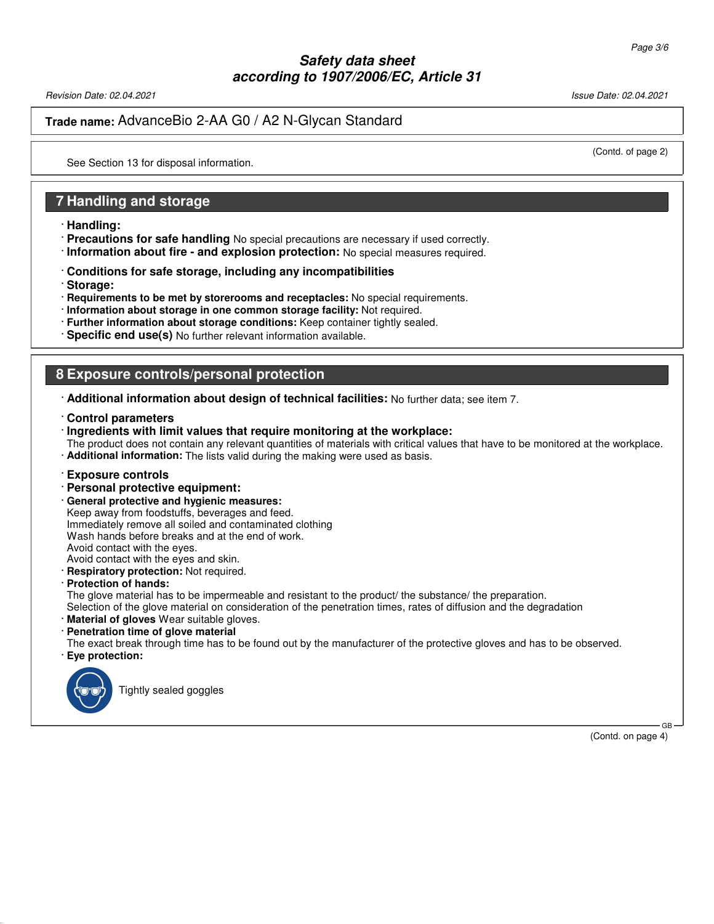Revision Date: 02.04.2021 2012 12:04:2021 20:04.2021 20:04:20:04 20:04:20:04 20:04:20:04 20:04:20:04 20:04:20:0

**Trade name:** AdvanceBio 2-AA G0 / A2 N-Glycan Standard

(Contd. of page 2)

See Section 13 for disposal information.

### **7 Handling and storage**

- · **Handling:**
- · **Precautions for safe handling** No special precautions are necessary if used correctly.
- · **Information about fire and explosion protection:** No special measures required.
- · **Conditions for safe storage, including any incompatibilities**
- · **Storage:**
- · **Requirements to be met by storerooms and receptacles:** No special requirements.
- · **Information about storage in one common storage facility:** Not required.
- · **Further information about storage conditions:** Keep container tightly sealed.
- · **Specific end use(s)** No further relevant information available.

#### **8 Exposure controls/personal protection**

- · **Additional information about design of technical facilities:** No further data; see item 7.
- · **Control parameters**
- · **Ingredients with limit values that require monitoring at the workplace:**

The product does not contain any relevant quantities of materials with critical values that have to be monitored at the workplace. · **Additional information:** The lists valid during the making were used as basis.

- · **Exposure controls**
- · **Personal protective equipment:**
- · **General protective and hygienic measures:**

Keep away from foodstuffs, beverages and feed. Immediately remove all soiled and contaminated clothing Wash hands before breaks and at the end of work. Avoid contact with the eyes. Avoid contact with the eyes and skin.

**Respiratory protection:** Not required.

· **Protection of hands:**

The glove material has to be impermeable and resistant to the product/ the substance/ the preparation.

- Selection of the glove material on consideration of the penetration times, rates of diffusion and the degradation
- **Material of gloves** Wear suitable gloves.
- · **Penetration time of glove material**

The exact break through time has to be found out by the manufacturer of the protective gloves and has to be observed. · **Eye protection:**



52.0.1.1

Tightly sealed goggles

(Contd. on page 4)

GB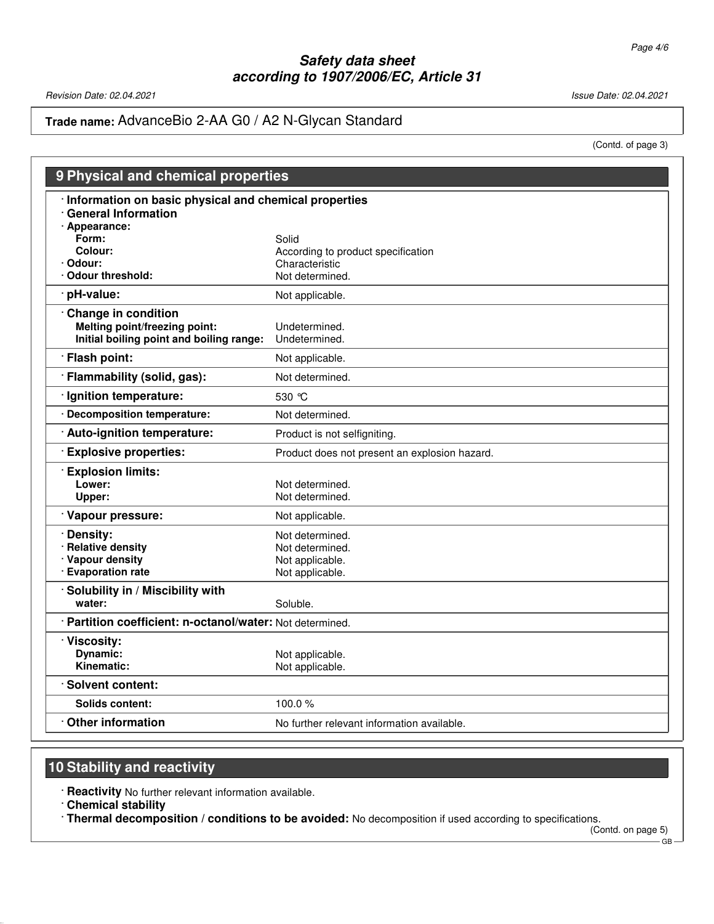Revision Date: 02.04.2021 2021 2021 2022 12:04:05 20:04 20:04 20:04 20:04 20:04 20:04 20:04 20:04 20:04 20:04

**Trade name:** AdvanceBio 2-AA G0 / A2 N-Glycan Standard

(Contd. of page 3)

| 9 Physical and chemical properties                        |                                               |  |
|-----------------------------------------------------------|-----------------------------------------------|--|
| Information on basic physical and chemical properties     |                                               |  |
| <b>General Information</b><br>· Appearance:               |                                               |  |
| Form:                                                     | Solid                                         |  |
| Colour:                                                   | According to product specification            |  |
| Odour:                                                    | Characteristic                                |  |
| <b>Odour threshold:</b>                                   | Not determined.                               |  |
| pH-value:                                                 | Not applicable.                               |  |
| <b>Change in condition</b>                                |                                               |  |
| Melting point/freezing point:                             | Undetermined.                                 |  |
| Initial boiling point and boiling range:                  | Undetermined.                                 |  |
| · Flash point:                                            | Not applicable.                               |  |
| · Flammability (solid, gas):                              | Not determined.                               |  |
| · Ignition temperature:                                   | 530 °C                                        |  |
| <b>Decomposition temperature:</b>                         | Not determined.                               |  |
| · Auto-ignition temperature:                              | Product is not selfigniting.                  |  |
| <b>Explosive properties:</b>                              | Product does not present an explosion hazard. |  |
| <b>Explosion limits:</b>                                  |                                               |  |
| Lower:                                                    | Not determined.                               |  |
| Upper:                                                    | Not determined.                               |  |
| · Vapour pressure:                                        | Not applicable.                               |  |
| Density:                                                  | Not determined.                               |  |
| <b>Relative density</b>                                   | Not determined.                               |  |
| · Vapour density                                          | Not applicable.                               |  |
| <b>Evaporation rate</b>                                   | Not applicable.                               |  |
| Solubility in / Miscibility with                          |                                               |  |
| water:                                                    | Soluble.                                      |  |
| · Partition coefficient: n-octanol/water: Not determined. |                                               |  |
| · Viscosity:                                              |                                               |  |
| Dynamic:                                                  | Not applicable.                               |  |
| Kinematic:                                                | Not applicable.                               |  |
| · Solvent content:                                        |                                               |  |
| Solids content:                                           | 100.0%                                        |  |
| $\cdot$ Other information                                 | No further relevant information available.    |  |

# **10 Stability and reactivity**

· **Reactivity** No further relevant information available.

· **Chemical stability**

52.0.1.1

· **Thermal decomposition / conditions to be avoided:** No decomposition if used according to specifications.

(Contd. on page 5) GB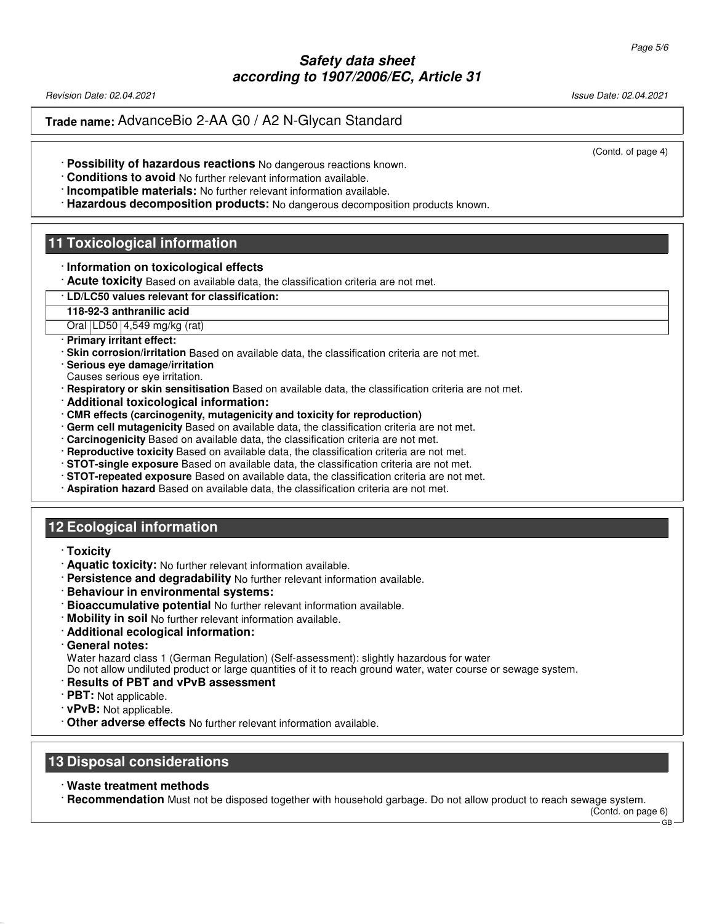Revision Date: 02.04.2021 Issue Date: 02.04.2021

**Trade name:** AdvanceBio 2-AA G0 / A2 N-Glycan Standard

(Contd. of page 4)

- · **Possibility of hazardous reactions** No dangerous reactions known.
- · **Conditions to avoid** No further relevant information available.
- · **Incompatible materials:** No further relevant information available.
- · **Hazardous decomposition products:** No dangerous decomposition products known.

# **11 Toxicological information**

- · **Information on toxicological effects**
- · **Acute toxicity** Based on available data, the classification criteria are not met.
- · **LD/LC50 values relevant for classification:**
- **118-92-3 anthranilic acid**
- Oral LD50 4,549 mg/kg (rat)
- · **Primary irritant effect:**
- · **Skin corrosion/irritation** Based on available data, the classification criteria are not met.
- · **Serious eye damage/irritation**
- Causes serious eye irritation.
- · **Respiratory or skin sensitisation** Based on available data, the classification criteria are not met.
- · **Additional toxicological information:**
- · **CMR effects (carcinogenity, mutagenicity and toxicity for reproduction)**
- · **Germ cell mutagenicity** Based on available data, the classification criteria are not met.
- · **Carcinogenicity** Based on available data, the classification criteria are not met.
- · **Reproductive toxicity** Based on available data, the classification criteria are not met.
- · **STOT-single exposure** Based on available data, the classification criteria are not met.
- · **STOT-repeated exposure** Based on available data, the classification criteria are not met.
- · **Aspiration hazard** Based on available data, the classification criteria are not met.

## **12 Ecological information**

· **Toxicity**

52.0.1.1

- · **Aquatic toxicity:** No further relevant information available.
- · **Persistence and degradability** No further relevant information available.
- · **Behaviour in environmental systems:**
- · **Bioaccumulative potential** No further relevant information available.
- · **Mobility in soil** No further relevant information available.
- · **Additional ecological information:**
- · **General notes:**

Water hazard class 1 (German Regulation) (Self-assessment): slightly hazardous for water

Do not allow undiluted product or large quantities of it to reach ground water, water course or sewage system.

- · **Results of PBT and vPvB assessment**
- · **PBT:** Not applicable.
- · **vPvB:** Not applicable.
- · **Other adverse effects** No further relevant information available.

#### **13 Disposal considerations**

· **Waste treatment methods**

· **Recommendation** Must not be disposed together with household garbage. Do not allow product to reach sewage system.

(Contd. on page 6) GB